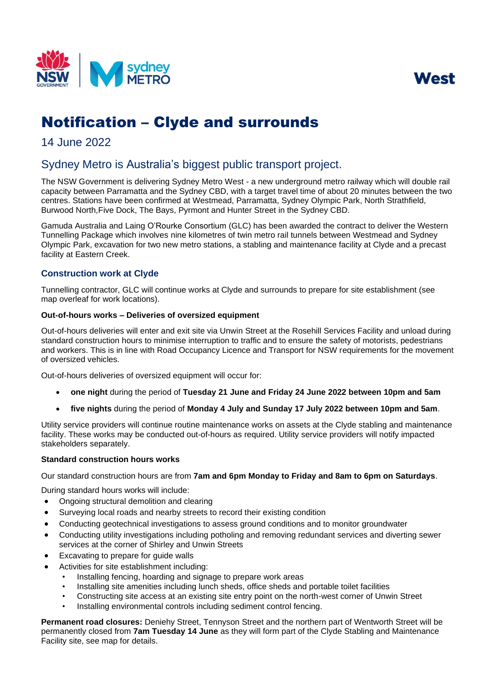



# Notification – Clyde and surrounds

# 14 June 2022

# Sydney Metro is Australia's biggest public transport project.

The NSW Government is delivering Sydney Metro West - a new underground metro railway which will double rail capacity between Parramatta and the Sydney CBD, with a target travel time of about 20 minutes between the two centres. Stations have been confirmed at Westmead, Parramatta, Sydney Olympic Park, North Strathfield, Burwood North,Five Dock, The Bays, Pyrmont and Hunter Street in the Sydney CBD.

Gamuda Australia and Laing O'Rourke Consortium (GLC) has been awarded the contract to deliver the Western Tunnelling Package which involves nine kilometres of twin metro rail tunnels between Westmead and Sydney Olympic Park, excavation for two new metro stations, a stabling and maintenance facility at Clyde and a precast facility at Eastern Creek.

# **Construction work at Clyde**

Tunnelling contractor, GLC will continue works at Clyde and surrounds to prepare for site establishment (see map overleaf for work locations).

## **Out-of-hours works – Deliveries of oversized equipment**

Out-of-hours deliveries will enter and exit site via Unwin Street at the Rosehill Services Facility and unload during standard construction hours to minimise interruption to traffic and to ensure the safety of motorists, pedestrians and workers. This is in line with Road Occupancy Licence and Transport for NSW requirements for the movement of oversized vehicles.

Out-of-hours deliveries of oversized equipment will occur for:

- **one night** during the period of **Tuesday 21 June and Friday 24 June 2022 between 10pm and 5am**
- **five nights** during the period of **Monday 4 July and Sunday 17 July 2022 between 10pm and 5am**.

Utility service providers will continue routine maintenance works on assets at the Clyde stabling and maintenance facility. These works may be conducted out-of-hours as required. Utility service providers will notify impacted stakeholders separately.

# **Standard construction hours works**

Our standard construction hours are from **7am and 6pm Monday to Friday and 8am to 6pm on Saturdays**.

During standard hours works will include:

- Ongoing structural demolition and clearing
- Surveying local roads and nearby streets to record their existing condition
- Conducting geotechnical investigations to assess ground conditions and to monitor groundwater
- Conducting utility investigations including potholing and removing redundant services and diverting sewer services at the corner of Shirley and Unwin Streets
- Excavating to prepare for guide walls
- Activities for site establishment including:
	- Installing fencing, hoarding and signage to prepare work areas
	- Installing site amenities including lunch sheds, office sheds and portable toilet facilities
	- Constructing site access at an existing site entry point on the north-west corner of Unwin Street
	- Installing environmental controls including sediment control fencing.

**Permanent road closures:** Deniehy Street, Tennyson Street and the northern part of Wentworth Street will be permanently closed from **7am Tuesday 14 June** as they will form part of the Clyde Stabling and Maintenance Facility site, see map for details.